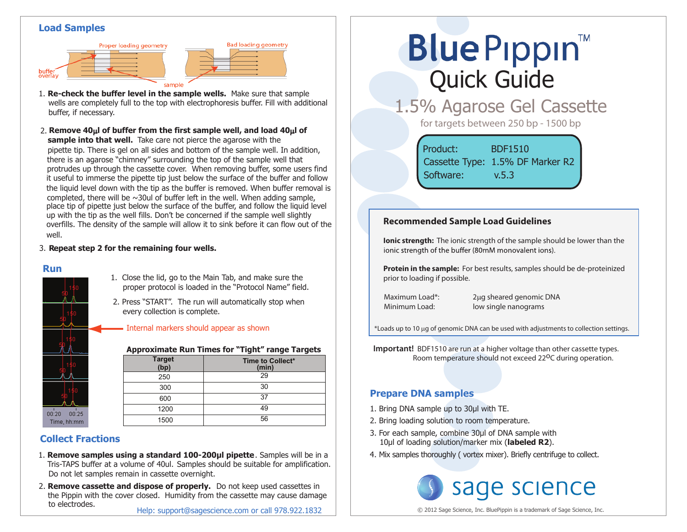### **Load Samples**



1. **Re-check the buffer level in the sample wells.** Make sure that sample wells are completely full to the top with electrophoresis buffer. Fill with additional buffer, if necessary.

**Bad loading geometry** 

**sample into that well.** Take care not pierce the agarose with the pipette tip. There is gel on all sides and bottom of the sample well. In addition, there is an agarose "chimney" surrounding the top of the sample well that protrudes up through the cassette cover. When removing buffer, some users find it useful to immerse the pipette tip just below the surface of the buffer and follow the liquid level down with the tip as the buffer is removed. When buffer removal is completed, there will be  $\sim$ 30ul of buffer left in the well. When adding sample, place tip of pipette just below the surface of the buffer, and follow the liquid level up with the tip as the well fills. Don't be concerned if the sample well slightly overfills. The density of the sample will allow it to sink before it can flow out of the well. 2. **Remove 40**µ**l of buffer from the first sample well, and load 40**µ**l of**

#### 3. **Repeat step 2 for the remaining four wells.**

#### **Run**



#### 1. Close the lid, go to the Main Tab, and make sure the proper protocol is loaded in the "Protocol Name" field.

2. Press "START". The run will automatically stop when every collection is complete.

Internal markers should appear as shown

**Approximate Run Times for "Tight" range Targets**

| Target<br>(bp) | Time to Collect*<br>(min) |
|----------------|---------------------------|
| 250            | 29                        |
| 300            | 30                        |
| 600            | 37                        |
| 1200           | 49                        |
| 1500           | 56                        |

# **Collect Fractions**

- Tris-TAPS buffer at a volume of 40ul. Samples should be suitable for amplification. 1. **Remove samples using a standard 100-200µl pipette**. Samples will be in a Do not let samples remain in cassette overnight.
- 2. **Remove cassette and dispose of properly.** Do not keep used cassettes in the Pippin with the cover closed. Humidity from the cassette may cause damage to electrodes.

# **Blue Pippin** Quick Guide

1.5% Agarose Gel Cassette

for targets between 250 bp - 1500 bp

Product: BDF1510 Cassette Type: 1.5% DF Marker R2 Software: v.5.3

## **Recommended Sample Load Guidelines**

**Ionic strength:** The ionic strength of the sample should be lower than the jonic strength of the buffer (80mM monovalent jons).

**Protein in the sample:** For best results, samples should be de-proteinized prior to loading if possible.

Maximum Load\*: 2µq sheared genomic DNA Minimum Load: low single nanograms

\*Loads up to 10 µg of genomic DNA can be used with adjustments to collection settings.

**Important!** BDF1510 are run at a higher voltage than other cassette types. Room temperature should not exceed 22<sup>o</sup>C during operation.

## **Prepare DNA samples**

- 1. Bring DNA sample up to 30μl with TE.
- 2. Bring loading solution to room temperature.
- 3. For each sample, combine 30μl of DNA sample with 10μl of loading solution/marker mix (**labeled R2**).
- 4. Mix samples thoroughly ( vortex mixer). Briefly centrifuge to collect.